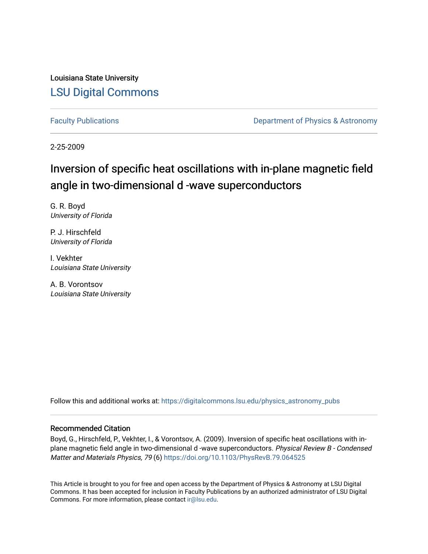Louisiana State University [LSU Digital Commons](https://digitalcommons.lsu.edu/)

[Faculty Publications](https://digitalcommons.lsu.edu/physics_astronomy_pubs) **Exercise 2 and Table 2 and Table 2 and Table 2 and Table 2 and Table 2 and Table 2 and Table 2 and Table 2 and Table 2 and Table 2 and Table 2 and Table 2 and Table 2 and Table 2 and Table 2 and Table** 

2-25-2009

# Inversion of specific heat oscillations with in-plane magnetic field angle in two-dimensional d -wave superconductors

G. R. Boyd University of Florida

P. J. Hirschfeld University of Florida

I. Vekhter Louisiana State University

A. B. Vorontsov Louisiana State University

Follow this and additional works at: [https://digitalcommons.lsu.edu/physics\\_astronomy\\_pubs](https://digitalcommons.lsu.edu/physics_astronomy_pubs?utm_source=digitalcommons.lsu.edu%2Fphysics_astronomy_pubs%2F5441&utm_medium=PDF&utm_campaign=PDFCoverPages) 

## Recommended Citation

Boyd, G., Hirschfeld, P., Vekhter, I., & Vorontsov, A. (2009). Inversion of specific heat oscillations with inplane magnetic field angle in two-dimensional d -wave superconductors. Physical Review B - Condensed Matter and Materials Physics, 79 (6) <https://doi.org/10.1103/PhysRevB.79.064525>

This Article is brought to you for free and open access by the Department of Physics & Astronomy at LSU Digital Commons. It has been accepted for inclusion in Faculty Publications by an authorized administrator of LSU Digital Commons. For more information, please contact [ir@lsu.edu](mailto:ir@lsu.edu).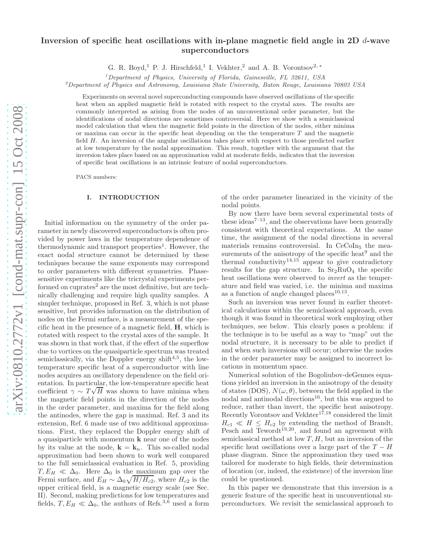# Inversion of specific heat oscillations with in-plane magnetic field angle in 2D  $d$ -wave superconductors

G. R. Boyd,<sup>1</sup> P. J. Hirschfeld,<sup>1</sup> I. Vekhter,<sup>2</sup> and A. B. Vorontsov<sup>2,\*</sup>

 $1$  Department of Physics, University of Florida, Gainesville, FL 32611, USA

<sup>2</sup>Department of Physics and Astronomy, Louisiana State University, Baton Rouge, Louisiana 70803 USA

Experiments on several novel superconducting compounds have observed oscillations of the specific heat when an applied magnetic field is rotated with respect to the crystal axes. The results are commonly interpreted as arising from the nodes of an unconventional order parameter, but the identifications of nodal directions are sometimes controversial. Here we show with a semiclassical model calculation that when the magnetic field points in the direction of the nodes, either minima or maxima can occur in the specific heat depending on the the temperature  $T$  and the magnetic field H. An inversion of the angular oscillations takes place with respect to those predicted earlier at low temperature by the nodal approximation. This result, together with the argument that the inversion takes place based on an approximation valid at moderate fields, indicates that the inversion of specific heat oscillations is an intrinsic feature of nodal superconductors.

PACS numbers:

## I. INTRODUCTION

Initial information on the symmetry of the order parameter in newly discovered superconductors is often provided by power laws in the temperature dependence of thermodynamic and transport properties<sup>1</sup>. However, the exact nodal structure cannot be determined by these techniques because the same exponents may correspond to order parameters with different symmetries. Phasesensitive experiments like the tricrystal experiments performed on cuprates<sup>2</sup> are the most definitive, but are technically challenging and require high quality samples. A simpler technique, proposed in Ref. 3, which is not phase sensitive, but provides information on the distribution of nodes on the Fermi surface, is a measurement of the specific heat in the presence of a magnetic field, H, which is rotated with respect to the crystal axes of the sample. It was shown in that work that, if the effect of the superflow due to vortices on the quasiparticle spectrum was treated semiclassically, via the Doppler energy shift $4.5$ , the lowtemperature specific heat of a superconductor with line nodes acquires an oscillatory dependence on the field orientation. In particular, the low-temperature specific heat coefficient  $\gamma \sim T\sqrt{H}$  was shown to have minima when the magnetic field points in the direction of the nodes in the order parameter, and maxima for the field along the antinodes, where the gap is maximal. Ref. 3 and its extension, Ref. 6 made use of two additional approximations. First, they replaced the Doppler energy shift of a quasiparticle with momentum k near one of the nodes by its value at the node,  $\mathbf{k} = \mathbf{k}_n$ . This so-called nodal approximation had been shown to work well compared to the full semiclassical evaluation in Ref. 5, providing  $T, E_H \ll \Delta_0$ . Here  $\Delta_0$  is the maximum gap over the Fermi surface, and  $E_H \sim \Delta_0 \sqrt{H/H_{c2}}$ , where  $H_{c2}$  is the upper critical field, is a magnetic energy scale (see Sec. II). Second, making predictions for low temperatures and fields,  $T, E_H \ll \Delta_0$ , the authors of Refs.<sup>3,6</sup> used a form of the order parameter linearized in the vicinity of the nodal points.

By now there have been several experimental tests of these ideas<sup> $7-13$ </sup>, and the observations have been generally consistent with theoretical expectations. At the same time, the assignment of the nodal directions in several materials remains controversial. In CeCoIn<sub>5</sub> the measurements of the anisotropy of the specific heat $9$  and the thermal conductivity<sup>14,15</sup> appear to give contradictory results for the gap structure. In  $Sr<sub>2</sub>RuO<sub>4</sub>$  the specific heat oscillations were observed to invert as the temperature and field was varied, i.e. the minima and maxima as a function of angle changed  $places^{10,13}$ .

Such an inversion was never found in earlier theoretical calculations within the semiclassical approach, even though it was found in theoretical work employing other techniques, see below. This clearly poses a problem: if the technique is to be useful as a way to "map" out the nodal structure, it is necessary to be able to predict if and when such inversions will occur; otherwise the nodes in the order parameter may be assigned to incorrect locations in momentum space.

Numerical solution of the Bogoliubov-deGennes equations yielded an inversion in the anisotropy of the density of states (DOS),  $N(\omega, \theta)$ , between the field applied in the nodal and antinodal directions<sup>16</sup>, but this was argued to reduce, rather than invert, the specific heat anisotropy. Recently Vorontsov and Vekhter<sup>17,18</sup> considered the limit  $H_{c1} \ll H \leq H_{c2}$  by extending the method of Brandt, Pesch and Tewordt<sup>19,20</sup>, and found an agreement with semiclassical method at low  $T, H$ , but an inversion of the specific heat oscillations over a large part of the  $T - H$ phase diagram. Since the approximation they used was tailored for moderate to high fields, their determination of location (or, indeed, the existence) of the inversion line could be questioned.

In this paper we demonstrate that this inversion is a generic feature of the specific heat in unconventional superconductors. We revisit the semiclassical approach to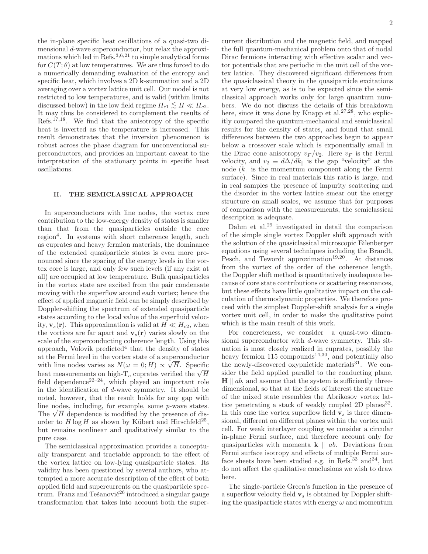the in-plane specific heat oscillations of a quasi-two dimensional d-wave superconductor, but relax the approximations which led in Refs.<sup>3,6,21</sup> to simple analytical forms for  $C(T; \theta)$  at low temperatures. We are thus forced to do a numerically demanding evaluation of the entropy and specific heat, which involves a 2D k-summation and a 2D averaging over a vortex lattice unit cell. Our model is not restricted to low temperatures, and is valid (within limits discussed below) in the low field regime  $H_{c1} \lesssim H \ll H_{c2}$ .<br>It may thus be considered to complement the regular of It may thus be considered to complement the results of Refs.17,18. We find that the anisotropy of the specific heat is inverted as the temperature is increased. This result demonstrates that the inversion phenomenon is robust across the phase diagram for unconventional superconductors, and provides an important caveat to the interpretation of the stationary points in specific heat oscillations.

## II. THE SEMICLASSICAL APPROACH

In superconductors with line nodes, the vortex core contribution to the low-energy density of states is smaller than that from the quasiparticles outside the core region<sup>4</sup>. In systems with short coherence length, such as cuprates and heavy fermion materials, the dominance of the extended quasiparticle states is even more pronounced since the spacing of the energy levels in the vortex core is large, and only few such levels (if any exist at all) are occupied at low temperature. Bulk quasiparticles in the vortex state are excited from the pair condensate moving with the superflow around each vortex; hence the effect of applied magnetic field can be simply described by Doppler-shifting the spectrum of extended quasiparticle states according to the local value of the superfluid velocity,  $\mathbf{v}_s(\mathbf{r})$ . This approximation is valid at  $H \ll H_{c2}$ , when the vortices are far apart and  $\mathbf{v}_s(\mathbf{r})$  varies slowly on the scale of the superconducting coherence length. Using this approach, Volovik predicted<sup>4</sup> that the density of states at the Fermi level in the vortex state of a superconductor with line nodes varies as  $N(\omega = 0; H) \propto \sqrt{H}$ . Specific heat measurements on high-T<sub>c</sub> cuprates verified the  $\sqrt{H}$ field dependence<sup>22–24</sup>, which played an important role in the identification of d-wave symmetry. It should be noted, however, that the result holds for any gap with line nodes, including, for example, some p-wave states. The  $\sqrt{H}$  dependence is modified by the presence of disorder to  $H \log H$  as shown by Kübert and Hirschfeld<sup>25</sup>, but remains nonlinear and qualitatively similar to the pure case.

The semiclassical approximation provides a conceptually transparent and tractable approach to the effect of the vortex lattice on low-lying quasiparticle states. Its validity has been questioned by several authors, who attempted a more accurate description of the effect of both applied field and supercurrents on the quasiparticle spectrum. Franz and Tešanović<sup>26</sup> introduced a singular gauge transformation that takes into account both the supercurrent distribution and the magnetic field, and mapped the full quantum-mechanical problem onto that of nodal Dirac fermions interacting with effective scalar and vector potentials that are periodic in the unit cell of the vortex lattice. They discovered significant differences from the quasiclassical theory in the quasiparticle excitations at very low energy, as is to be expected since the semiclassical approach works only for large quantum numbers. We do not discuss the details of this breakdown here, since it was done by Knapp et al.<sup>27,28</sup>, who explicitly compared the quantum-mechanical and semiclassical results for the density of states, and found that small differences between the two approaches begin to appear below a crossover scale which is exponentially small in the Dirac cone anisotropy  $v_F/v_2$ . Here  $v_F$  is the Fermi velocity, and  $v_2 \equiv d\Delta/dk_{\parallel}$  is the gap "velocity" at the node  $(k_{\parallel}$  is the momentum component along the Fermi surface). Since in real materials this ratio is large, and in real samples the presence of impurity scattering and the disorder in the vortex lattice smear out the energy structure on small scales, we assume that for purposes of comparison with the measurements, the semiclassical description is adequate.

Dahm et al.<sup>29</sup> investigated in detail the comparison of the simple single vortex Doppler shift approach with the solution of the quasiclassical microscopic Eilenberger equations using several techniques including the Brandt, Pesch, and Tewordt approximation<sup>19,20</sup>. At distances from the vortex of the order of the coherence length, the Doppler shift method is quantitatively inadequate because of core state contributions or scattering resonances, but these effects have little qualitative impact on the calculation of thermodynamic properties. We therefore proceed with the simplest Doppler-shift analysis for a single vortex unit cell, in order to make the qualitative point which is the main result of this work.

For concreteness, we consider a quasi-two dimensional superconductor with d-wave symmetry. This situation is most closely realized in cuprates, possibly the heavy fermion  $115$  compounds<sup>14,30</sup>, and potentially also the newly-discovered oxypnictide materials $^{31}$ . We consider the field applied parallel to the conducting plane,  $H \parallel ab$ , and assume that the system is sufficiently threedimensional, so that at the fields of interest the structure of the mixed state resembles the Abrikosov vortex lattice penetrating a stack of weakly coupled 2D planes<sup>32</sup>. In this case the vortex superflow field  $v_s$  is three dimensional, different on different planes within the vortex unit cell. For weak interlayer coupling we consider a circular in-plane Fermi surface, and therefore account only for quasiparticles with momenta  $k \parallel ab$ . Deviations from Fermi surface isotropy and effects of multiple Fermi surface sheets have been studied e.g. in Refs.<sup>33</sup> and<sup>34</sup>, but do not affect the qualitative conclusions we wish to draw here.

The single-particle Green's function in the presence of a superflow velocity field  $v<sub>s</sub>$  is obtained by Doppler shifting the quasiparticle states with energy  $\omega$  and momentum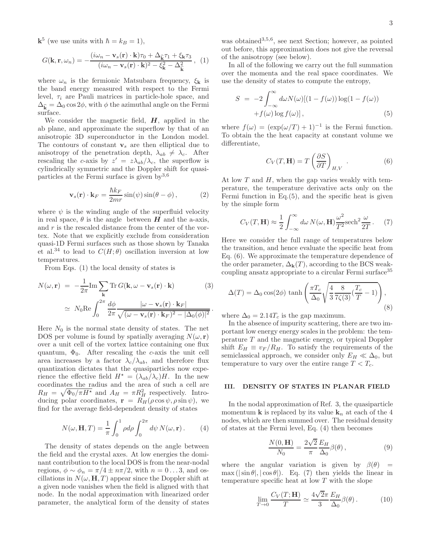$\mathbf{k}^5$  (we use units with  $\hbar = k_B = 1$ ),

$$
G(\mathbf{k}, \mathbf{r}, \omega_n) = -\frac{(i\omega_n - \mathbf{v}_s(\mathbf{r}) \cdot \mathbf{k})\tau_0 + \Delta_{\widehat{\mathbf{k}}} \tau_1 + \xi_{\mathbf{k}} \tau_3}{(i\omega_n - \mathbf{v}_s(\mathbf{r}) \cdot \mathbf{k})^2 - \xi_{\mathbf{k}}^2 - \Delta_{\widehat{\mathbf{k}}}^2}, (1)
$$

where  $\omega_n$  is the fermionic Matsubara frequency,  $\xi_{\mathbf{k}}$  is the band energy measured with respect to the Fermi level,  $\tau_i$  are Pauli matrices in particle-hole space, and  $\Delta_{\hat{\mathbf{k}}} = \Delta_0 \cos 2\phi$ , with  $\phi$  the azimuthal angle on the Fermi surface.

We consider the magnetic field,  $H$ , applied in the ab plane, and approximate the superflow by that of an anisotropic 3D superconductor in the London model. The contours of constant  $v_s$  are then elliptical due to anisotropy of the penetration depth,  $\lambda_{ab} \neq \lambda_c$ . After rescaling the c-axis by  $z' = z \lambda_{ab}/\lambda_c$ , the superflow is cylindrically symmetric and the Doppler shift for quasiparticles at the Fermi surface is given  $bv^{3,6}$ 

$$
\mathbf{v}_s(\mathbf{r}) \cdot \mathbf{k}_F = \frac{\hbar k_F}{2mr} \sin(\psi) \sin(\theta - \phi) , \qquad (2)
$$

where  $\psi$  is the winding angle of the superfluid velocity in real space,  $\theta$  is the angle between  $H$  and the a-axis, and  $r$  is the rescaled distance from the center of the vortex. Note that we explicitly exclude from consideration quasi-1D Fermi surfaces such as those shown by Tanaka et al.<sup>34</sup> to lead to  $C(H; \theta)$  oscillation inversion at low temperatures.

From Eqs. (1) the local density of states is

$$
N(\omega, \mathbf{r}) = -\frac{1}{2\pi} \text{Im} \sum_{\mathbf{k}} \text{Tr} G(\mathbf{k}, \omega - \mathbf{v}_s(\mathbf{r}) \cdot \mathbf{k}) \qquad (3)
$$

$$
\simeq N_0 \text{Re} \int_0^{2\pi} \frac{d\phi}{2\pi} \frac{|\omega - \mathbf{v}_s(\mathbf{r}) \cdot \mathbf{k}_F|}{\sqrt{(\omega - \mathbf{v}_s(\mathbf{r}) \cdot \mathbf{k}_F)^2 - |\Delta_0(\phi)|^2}}.
$$

Here  $N_0$  is the normal state density of states. The net DOS per volume is found by spatially averaging  $N(\omega, r)$ over a unit cell of the vortex lattice containing one flux quantum,  $\Phi_0$ . After rescaling the c-axis the unit cell area increases by a factor  $\lambda_c/\lambda_{ab}$ , and therefore flux quantization dictates that the quasiparticles now experience the effective field  $H^* = (\lambda_{ab}/\lambda_c)H$ . In the new coordinates the radius and the area of such a cell are  $R_H = \sqrt{\Phi_0 / \pi H^*}$  and  $A_H = \pi R_H^2$  respectively. Introducing polar coordinates,  $\mathbf{r} = R_H(\rho \cos \psi, \rho \sin \psi)$ , we find for the average field-dependent density of states

$$
N(\omega, \mathbf{H}, T) = \frac{1}{\pi} \int_0^1 \rho d\rho \int_0^{2\pi} d\psi N(\omega, \mathbf{r}). \qquad (4)
$$

The density of states depends on the angle between the field and the crystal axes. At low energies the dominant contribution to the local DOS is from the near-nodal regions,  $\phi \sim \phi_n = \pi/4 \pm n\pi/2$ , with  $n = 0...3$ , and oscillations in  $N(\omega, \mathbf{H}, T)$  appear since the Doppler shift at a given node vanishes when the field is aligned with that node. In the nodal approximation with linearized order parameter, the analytical form of the density of states

was obtained<sup>3,5,6</sup>, see next Section; however, as pointed out before, this approximation does not give the reversal of the anisotropy (see below).

In all of the following we carry out the full summation over the momenta and the real space coordinates. We use the density of states to compute the entropy,

$$
S = -2 \int_{-\infty}^{\infty} d\omega N(\omega) [(1 - f(\omega)) \log(1 - f(\omega)) + f(\omega) \log f(\omega)],
$$
\n(5)

where  $f(\omega) = (\exp(\omega/T) + 1)^{-1}$  is the Fermi function. To obtain the the heat capacity at constant volume we differentiate,

$$
C_V(T, \mathbf{H}) = T \left(\frac{\partial S}{\partial T}\right)_{H, V} .
$$
 (6)

At low  $T$  and  $H$ , when the gap varies weakly with temperature, the temperature derivative acts only on the Fermi function in Eq. $(5)$ , and the specific heat is given by the simple form

$$
C_V(T, \mathbf{H}) \approx \frac{1}{2} \int_{-\infty}^{\infty} d\omega \, N(\omega, \mathbf{H}) \frac{\omega^2}{T^2} \text{sech}^2 \frac{\omega}{2T} \,. \tag{7}
$$

Here we consider the full range of temperatures below the transition, and hence evaluate the specific heat from Eq. (6). We approximate the temperature dependence of the order parameter,  $\Delta_{\mathbf{k}}(T)$ , according to the BCS weakcoupling ansatz appropriate to a circular Fermi surface<sup>35</sup>

$$
\Delta(T) = \Delta_0 \cos(2\phi) \tanh\left(\frac{\pi T_c}{\Delta_0} \sqrt{\frac{4}{3} \frac{8}{7\zeta(3)}} \left(\frac{T_c}{T} - 1\right)\right),\tag{8}
$$

where  $\Delta_0 = 2.14T_c$  is the gap maximum.

In the absence of impurity scattering, there are two important low energy energy scales in the problem: the temperature T and the magnetic energy, or typical Doppler shift  $E_H \equiv v_F / R_H$ . To satisfy the requirements of the semiclassical approach, we consider only  $E_H \ll \Delta_0$ , but temperature to vary over the entire range  $T < T_c$ .

## III. DENSITY OF STATES IN PLANAR FIELD

In the nodal approximation of Ref. 3, the quasiparticle momentum **k** is replaced by its value  $\mathbf{k}_n$  at each of the 4 nodes, which are then summed over. The residual density of states at the Fermi level, Eq. (4) then becomes

$$
\frac{N(0, \mathbf{H})}{N_0} = \frac{2\sqrt{2}}{\pi} \frac{E_H}{\Delta_0} \beta(\theta), \qquad (9)
$$

where the angular variation is given by  $\beta(\theta)$  =  $\max(|\sin\theta|, |\cos\theta|)$ . Eq. (7) then yields the linear in temperature specific heat at low  $T$  with the slope

$$
\lim_{T \to 0} \frac{C_V(T; \mathbf{H})}{T} \simeq \frac{4\sqrt{2}\pi}{3} \frac{E_H}{\Delta_0} \beta(\theta). \tag{10}
$$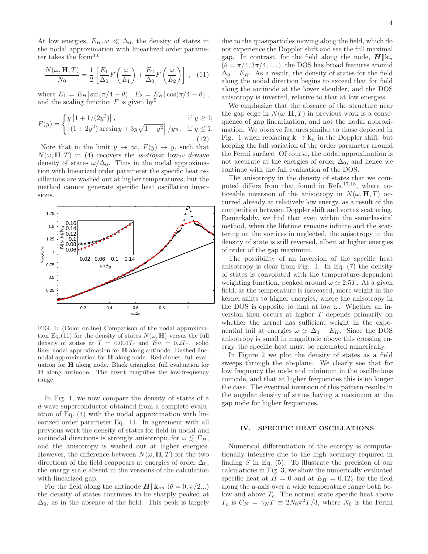At low energies,  $E_H, \omega \ll \Delta_0$ , the density of states in the nodal approximation with linearlized order parameter takes the form3,6

$$
\frac{N(\omega, \mathbf{H}, T)}{N_0} = \frac{1}{2} \left[ \frac{E_1}{\Delta_0} F\left(\frac{\omega}{E_1}\right) + \frac{E_2}{\Delta_0} F\left(\frac{\omega}{E_2}\right) \right], \quad (11)
$$

where  $E_1 = E_H |\sin(\pi/4 - \theta)|$ ,  $E_2 = E_H |\cos(\pi/4 - \theta)|$ , and the scaling function  $F$  is given by  $5$ 

$$
F(y) = \begin{cases} y [1 + 1/(2y^{2})], & \text{if } y \ge 1; \\ \left[ (1 + 2y^{2}) \arcsin y + 3y\sqrt{1 - y^{2}} \right] / y\pi, & \text{if } y \le 1. \\ (12) \end{cases}
$$

Note that in the limit  $y \to \infty$ ,  $F(y) \to y$ , such that  $N(\omega, H, T)$  in (4) recovers the *isotropic* low- $\omega$  d-wave density of states  $\omega/\Delta_0$ . Thus in the nodal approximation with linearized order parameter the specific heat oscillations are washed out at higher temperatures, but the method cannot generate specific heat oscillation inversions.



FIG. 1: (Color online) Comparison of the nodal approximation Eq.(11) for the density of states  $N(\omega, H)$  versus the full density of states at  $T = 0.001T_c$  and  $E_H = 0.2T_c$ . solid line: nodal approximation for H along antinode. Dashed line: nodal approximation for H along node. Red circles: full evaluation for H along node. Black triangles: full evaluation for H along antinode. The insert magnifies the low-frequency range.

In Fig. 1, we now compare the density of states of a d-wave superconductor obtained from a complete evaluation of Eq. (4) with the nodal approximation with linearized order parameter Eq. 11. In agreement with all previous work the density of states for field in nodal and antinodal directions is strongly anisotropic for  $\omega \lesssim E_H$ , and the anisotropy is washed out at higher energies. However, the difference between  $N(\omega, \mathbf{H}, T)$  for the two directions of the field reappears at energies of order  $\Delta_0$ , the energy scale absent in the versions of the calculation with linearized gap.

For the field along the antinode  $H||{\bf k}_{an}$  ( $\theta = 0, \pi/2...$ ) the density of states continues to be sharply peaked at  $\Delta_0$ , as in the absence of the field. This peak is largely due to the quasiparticles moving along the field, which do not experience the Doppler shift and see the full maximal gap. In contrast, for the field along the node,  $H||\mathbf{k}_n$  $(\theta = \pi/4, 3\pi/4, ...)$ , the DOS has broad features around  $\Delta_0 \pm E_H$ . As a result, the density of states for the field along the nodal direction begins to exceed that for field along the antinode at the lower shoulder, and the DOS anisotropy is inverted, relative to that at low energies.

We emphasize that the absence of the structure near the gap edge in  $N(\omega, H, T)$  in previous work is a consequence of gap linearization, and not the nodal approximation. We observe features similar to those depicted in Fig. 1 when replacing  $\mathbf{k} \to \mathbf{k}_n$  in the Doppler shift, but keeping the full variation of the order parameter around the Fermi surface. Of course, the nodal approximation is not accurate at the energies of order  $\Delta_0$ , and hence we continue with the full evaluation of the DOS.

The anisotropy in the density of states that we computed differs from that found in Refs.17,18, where noticeable inversion of the anisotropy in  $N(\omega, H, T)$  occurred already at relatively low energy, as a result of the competition between Doppler shift and vortex scattering. Remarkably, we find that even within the semiclassical method, when the lifetime remains infinite and the scattering on the vortices in neglected, the anisotropy in the density of state is still reversed, albeit at higher energies of order of the gap maximum.

The possibility of an inversion of the specific heat anisotropy is clear from Fig. 1. In Eq. (7) the density of states is convoluted with the temperature-dependent weighting function, peaked around  $\omega \simeq 2.5T$ . At a given field, as the temperature is increased, more weight in the kernel shifts to higher energies, where the anisotropy in the DOS is opposite to that at low  $\omega$ . Whether an inversion then occurs at higher T depends primarily on whether the kernel has sufficient weight in the exponential tail at energies  $\omega \simeq \Delta_0 - E_H$ . Since the DOS anisotropy is small in magnitude above this crossing energy, the specific heat must be calculated numerically.

In Figure 2 we plot the density of states as a field sweeps through the ab-plane. We clearly see that for low frequency the node and minimum in the oscillations coincide, and that at higher frequencies this is no longer the case. The eventual inversion of this pattern results in the angular density of states having a maximum at the gap node for higher frequencies.

#### IV. SPECIFIC HEAT OSCILLATIONS

Numerical differentiation of the entropy is computationally intensive due to the high accuracy required in finding  $S$  in Eq. (5). To illustrate the precision of our calculations in Fig. 3, we show the numerically evaluated specific heat at  $H = 0$  and at  $E_H = 0.4T_c$  for the field along the a-axis over a wide temperature range both below and above  $T_c$ . The normal state specific heat above  $T_c$  is  $C_N = \gamma_N T \equiv 2N_0 \pi^2 T/3$ , where  $N_0$  is the Fermi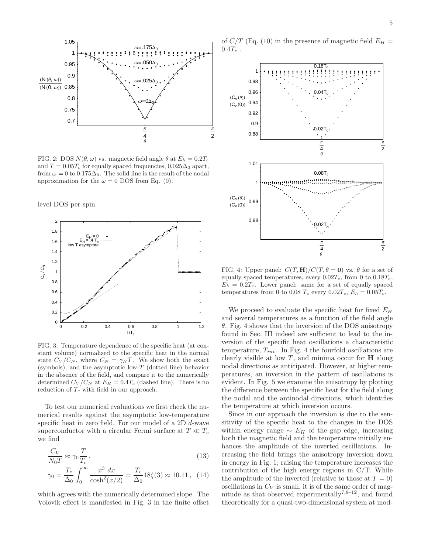

FIG. 2: DOS  $N(\theta, \omega)$  vs. magnetic field angle  $\theta$  at  $E_h = 0.2T_c$ and  $T = 0.05T_c$  for equally spaced frequencies,  $0.025\Delta_0$  apart, from  $\omega = 0$  to 0.175 $\Delta_0$ . The solid line is the result of the nodal approximation for the  $\omega = 0$  DOS from Eq. (9).

level DOS per spin.



FIG. 3: Temperature dependence of the specific heat (at constant volume) normalized to the specific heat in the normal state  $C_V/C_N$ , where  $C_N = \gamma_N T$ . We show both the exact (symbols), and the asymptotic low-T (dotted line) behavior in the absence of the field, and compare it to the numerically determined  $C_V/C_N$  at  $E_H = 0.4T_c$  (dashed line). There is no reduction of  $T_c$  with field in our approach.

To test our numerical evaluations we first check the numerical results against the asymptotic low-temperature specific heat in zero field. For our model of a 2D d-wave superconductor with a circular Fermi surface at  $T \ll T_c$ we find

$$
\frac{C_V}{N_0 T} \approx \gamma_0 \frac{T}{T_c},\tag{13}
$$

$$
\gamma_0 = \frac{T_c}{\Delta_0} \int_0^\infty \frac{x^3 \, dx}{\cosh^2(x/2)} = \frac{T_c}{\Delta_0} 18\zeta(3) \approx 10.11 \,, \tag{14}
$$

which agrees with the numerically determined slope. The Volovik effect is manifested in Fig. 3 in the finite offset

of  $C/T$  (Eq. (10) in the presence of magnetic field  $E_H =$  $0.4T_c$ .



FIG. 4: Upper panel:  $C(T, H)/C(T, \theta = 0)$  vs.  $\theta$  for a set of equally spaced temperatures, every  $0.02T_c$ , from 0 to  $0.18T_c$ ,  $E_h = 0.2T_c$ . Lower panel: same for a set of equally spaced temperatures from 0 to 0.08  $T_c$  every 0.02 $T_c$ ,  $E_h = 0.05T_c$ .

We proceed to evaluate the specific heat for fixed  $E_H$ and several temperatures as a function of the field angle  $\theta$ . Fig. 4 shows that the inversion of the DOS anisotropy found in Sec. III indeed are sufficient to lead to the inversion of the specific heat oscillations a characteristic temperature,  $T_{inv}$ . In Fig. 4 the fourfold oscillations are clearly visible at low  $T$ , and minima occur for  $H$  along nodal directions as anticipated. However, at higher temperatures, an inversion in the pattern of oscillations is evident. In Fig. 5 we examine the anisotropy by plotting the difference between the specific heat for the field along the nodal and the antinodal directions, which identifies the temperature at which inversion occurs.

Since in our approach the inversion is due to the sensitivity of the specific heat to the changes in the DOS within energy range  $\sim E_H$  of the gap edge, increasing both the magnetic field and the temperature initially enhances the amplitude of the inverted oscillations. Increasing the field brings the anisotropy inversion down in energy in Fig. 1; raising the temperature increases the contribution of the high energy regions in C/T. While the amplitude of the inverted (relative to those at  $T = 0$ ) oscillations in  $C_V$  is small, it is of the same order of magnitude as that observed experimentally<sup>7,9–12</sup>, and found theoretically for a quasi-two-dimensional system at mod-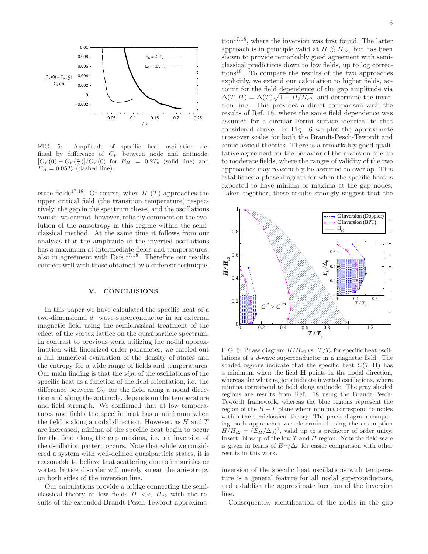

FIG. 5: Amplitude of specific heat oscillation defined by difference of  $C_V$  between node and antinode,  $[C_V(0) - C_V(\frac{\pi}{4})]/C_V(0)$  for  $E_H = 0.2T_c$  (solid line) and  $E_H = 0.05T_c$  (dashed line).

erate fields<sup>17,18</sup>. Of course, when H (T) approaches the upper critical field (the transition temperature) respectively, the gap in the spectrum closes, and the oscillations vanish; we cannot, however, reliably comment on the evolution of the anisotropy in this regime within the semiclassical method. At the same time it follows from our analysis that the amplitude of the inverted oscillations has a maximum at intermediate fields and temperatures, also in agreement with Refs.17,18. Therefore our results connect well with those obtained by a different technique.

#### V. CONCLUSIONS

In this paper we have calculated the specific heat of a two-dimensional d−wave superconductor in an external magnetic field using the semiclassical treatment of the effect of the vortex lattice on the quasiparticle spectrum. In contrast to previous work utilizing the nodal approximation with linearized order parameter, we carried out a full numerical evaluation of the density of states and the entropy for a wide range of fields and temperatures. Our main finding is that the sign of the oscillations of the specific heat as a function of the field orientation, i.e. the difference between  $C_V$  for the field along a nodal direction and along the antinode, depends on the temperature and field strength. We confirmed that at low temperatures and fields the specific heat has a minimum when the field is along a nodal direction. However, as  $H$  and  $T$ are increased, minima of the specific heat begin to occur for the field along the gap maxima, i.e. an inversion of the oscillation pattern occurs. Note that while we considered a system with well-defined quasiparticle states, it is reasonable to believe that scattering due to impurities or vortex lattice disorder will merely smear the anisotropy on both sides of the inversion line.

Our calculations provide a bridge connecting the semiclassical theory at low fields  $H \ll H_{c2}$  with the results of the extended Brandt-Pesch-Tewordt approxima-

 $\{\text{tion}^{17,18}, \text{where the inversion was first found. The latter}$ approach is in principle valid at  $H \lesssim H_{c2}$ , but has been shown to provide remarkably good agreement with semiclassical predictions down to low fields, up to log corrections18. To compare the results of the two approaches explicitly, we extend our calculation to higher fields, account for the field dependence of the gap amplitude via  $\Delta(T, H) = \Delta(T)\sqrt{1 - H/H_{c2}}$ , and determine the inversion line. This provides a direct comparison with the results of Ref. 18, where the same field dependence was assumed for a circular Fermi surface identical to that considered above. In Fig. 6 we plot the approximate crossover scales for both the Brandt-Pesch-Tewordt and semiclassical theories. There is a remarkably good qualitative agreement for the behavior of the inversion line up to moderate fields, where the ranges of validity of the two approaches may reasonably be assumed to overlap. This establishes a phase diagram for when the specific heat is expected to have minima or maxima at the gap nodes. Taken together, these results strongly suggest that the



FIG. 6: Phase diagram  $H/H_{c2}$  vs.  $T/T_c$  for specific heat oscillations of a d-wave superconductor in a magnetic field. The shaded regions indicate that the specific heat  $C(T, H)$  has a minimum when the field H points in the nodal direction, whereas the white regions indicate inverted oscillations, where minima correspond to field along antinode. The gray shaded regions are results from Ref. 18 using the Brandt-Pesch-Tewordt framework, whereas the blue regions represent the region of the  $H - T$  plane where minima correspond to nodes within the semiclassical theory. The phase diagram comparing both approaches was determined using the assumption  $H/H_{c2} = (E_H/\Delta_0)^2$ , valid up to a prefactor of order unity. Insert: blowup of the low  $T$  and  $H$  region. Note the field scale is given in terms of  $E_H/\Delta_0$  for easier comparison with other results in this work.

inversion of the specific heat oscillations with temperature is a general feature for all nodal superconductors, and establish the approximate location of the inversion line.

Consequently, identification of the nodes in the gap